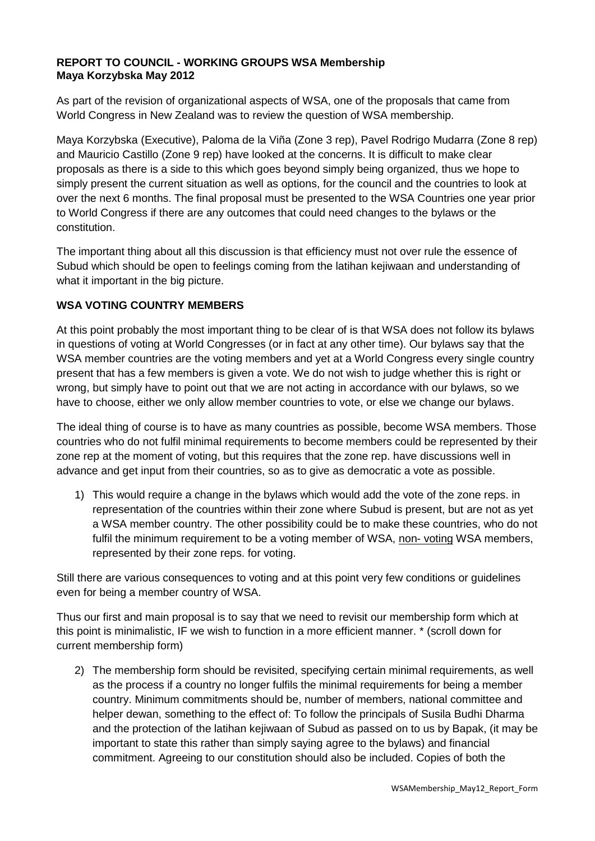#### **REPORT TO COUNCIL - WORKING GROUPS WSA Membership Maya Korzybska May 2012**

As part of the revision of organizational aspects of WSA, one of the proposals that came from World Congress in New Zealand was to review the question of WSA membership.

Maya Korzybska (Executive), Paloma de la Viña (Zone 3 rep), Pavel Rodrigo Mudarra (Zone 8 rep) and Mauricio Castillo (Zone 9 rep) have looked at the concerns. It is difficult to make clear proposals as there is a side to this which goes beyond simply being organized, thus we hope to simply present the current situation as well as options, for the council and the countries to look at over the next 6 months. The final proposal must be presented to the WSA Countries one year prior to World Congress if there are any outcomes that could need changes to the bylaws or the constitution.

The important thing about all this discussion is that efficiency must not over rule the essence of Subud which should be open to feelings coming from the latihan kejiwaan and understanding of what it important in the big picture.

## **WSA VOTING COUNTRY MEMBERS**

At this point probably the most important thing to be clear of is that WSA does not follow its bylaws in questions of voting at World Congresses (or in fact at any other time). Our bylaws say that the WSA member countries are the voting members and yet at a World Congress every single country present that has a few members is given a vote. We do not wish to judge whether this is right or wrong, but simply have to point out that we are not acting in accordance with our bylaws, so we have to choose, either we only allow member countries to vote, or else we change our bylaws.

The ideal thing of course is to have as many countries as possible, become WSA members. Those countries who do not fulfil minimal requirements to become members could be represented by their zone rep at the moment of voting, but this requires that the zone rep. have discussions well in advance and get input from their countries, so as to give as democratic a vote as possible.

1) This would require a change in the bylaws which would add the vote of the zone reps. in representation of the countries within their zone where Subud is present, but are not as yet a WSA member country. The other possibility could be to make these countries, who do not fulfil the minimum requirement to be a voting member of WSA, non- voting WSA members, represented by their zone reps. for voting.

Still there are various consequences to voting and at this point very few conditions or guidelines even for being a member country of WSA.

Thus our first and main proposal is to say that we need to revisit our membership form which at this point is minimalistic, IF we wish to function in a more efficient manner. \* (scroll down for current membership form)

2) The membership form should be revisited, specifying certain minimal requirements, as well as the process if a country no longer fulfils the minimal requirements for being a member country. Minimum commitments should be, number of members, national committee and helper dewan, something to the effect of: To follow the principals of Susila Budhi Dharma and the protection of the latihan kejiwaan of Subud as passed on to us by Bapak, (it may be important to state this rather than simply saying agree to the bylaws) and financial commitment. Agreeing to our constitution should also be included. Copies of both the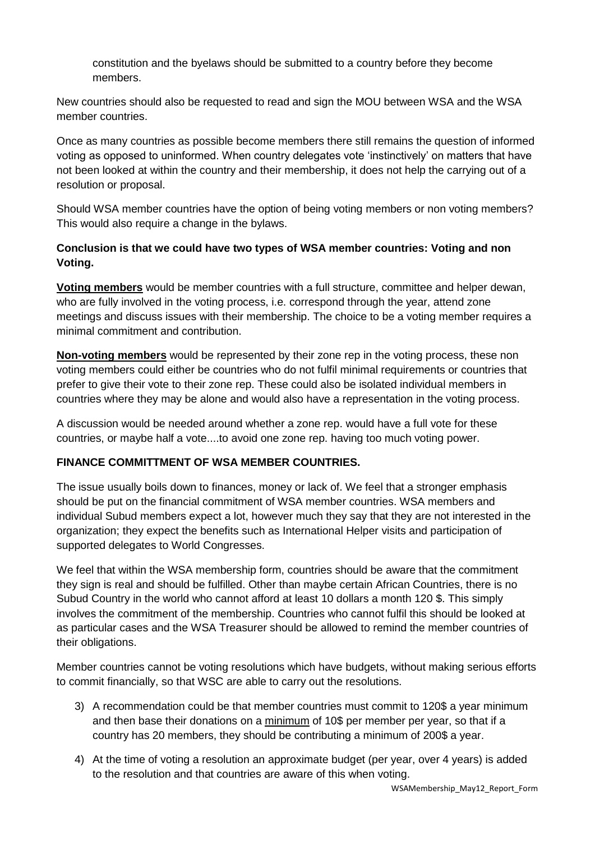constitution and the byelaws should be submitted to a country before they become members.

New countries should also be requested to read and sign the MOU between WSA and the WSA member countries.

Once as many countries as possible become members there still remains the question of informed voting as opposed to uninformed. When country delegates vote 'instinctively' on matters that have not been looked at within the country and their membership, it does not help the carrying out of a resolution or proposal.

Should WSA member countries have the option of being voting members or non voting members? This would also require a change in the bylaws.

# **Conclusion is that we could have two types of WSA member countries: Voting and non Voting.**

**Voting members** would be member countries with a full structure, committee and helper dewan, who are fully involved in the voting process, i.e. correspond through the year, attend zone meetings and discuss issues with their membership. The choice to be a voting member requires a minimal commitment and contribution.

**Non-voting members** would be represented by their zone rep in the voting process, these non voting members could either be countries who do not fulfil minimal requirements or countries that prefer to give their vote to their zone rep. These could also be isolated individual members in countries where they may be alone and would also have a representation in the voting process.

A discussion would be needed around whether a zone rep. would have a full vote for these countries, or maybe half a vote....to avoid one zone rep. having too much voting power.

## **FINANCE COMMITTMENT OF WSA MEMBER COUNTRIES.**

The issue usually boils down to finances, money or lack of. We feel that a stronger emphasis should be put on the financial commitment of WSA member countries. WSA members and individual Subud members expect a lot, however much they say that they are not interested in the organization; they expect the benefits such as International Helper visits and participation of supported delegates to World Congresses.

We feel that within the WSA membership form, countries should be aware that the commitment they sign is real and should be fulfilled. Other than maybe certain African Countries, there is no Subud Country in the world who cannot afford at least 10 dollars a month 120 \$. This simply involves the commitment of the membership. Countries who cannot fulfil this should be looked at as particular cases and the WSA Treasurer should be allowed to remind the member countries of their obligations.

Member countries cannot be voting resolutions which have budgets, without making serious efforts to commit financially, so that WSC are able to carry out the resolutions.

- 3) A recommendation could be that member countries must commit to 120\$ a year minimum and then base their donations on a minimum of 10\$ per member per year, so that if a country has 20 members, they should be contributing a minimum of 200\$ a year.
- 4) At the time of voting a resolution an approximate budget (per year, over 4 years) is added to the resolution and that countries are aware of this when voting.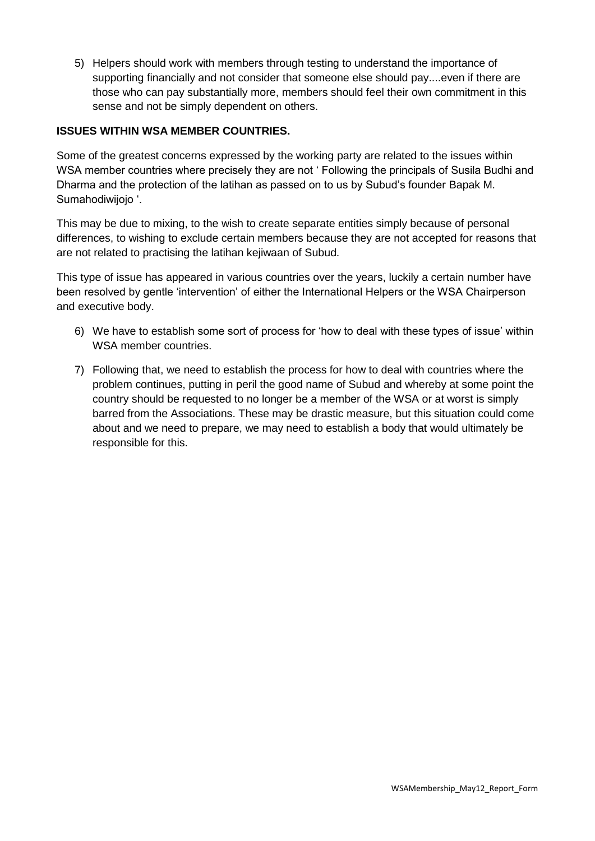5) Helpers should work with members through testing to understand the importance of supporting financially and not consider that someone else should pay....even if there are those who can pay substantially more, members should feel their own commitment in this sense and not be simply dependent on others.

### **ISSUES WITHIN WSA MEMBER COUNTRIES.**

Some of the greatest concerns expressed by the working party are related to the issues within WSA member countries where precisely they are not ' Following the principals of Susila Budhi and Dharma and the protection of the latihan as passed on to us by Subud's founder Bapak M. Sumahodiwijojo '.

This may be due to mixing, to the wish to create separate entities simply because of personal differences, to wishing to exclude certain members because they are not accepted for reasons that are not related to practising the latihan kejiwaan of Subud.

This type of issue has appeared in various countries over the years, luckily a certain number have been resolved by gentle 'intervention' of either the International Helpers or the WSA Chairperson and executive body.

- 6) We have to establish some sort of process for 'how to deal with these types of issue' within WSA member countries.
- 7) Following that, we need to establish the process for how to deal with countries where the problem continues, putting in peril the good name of Subud and whereby at some point the country should be requested to no longer be a member of the WSA or at worst is simply barred from the Associations. These may be drastic measure, but this situation could come about and we need to prepare, we may need to establish a body that would ultimately be responsible for this.